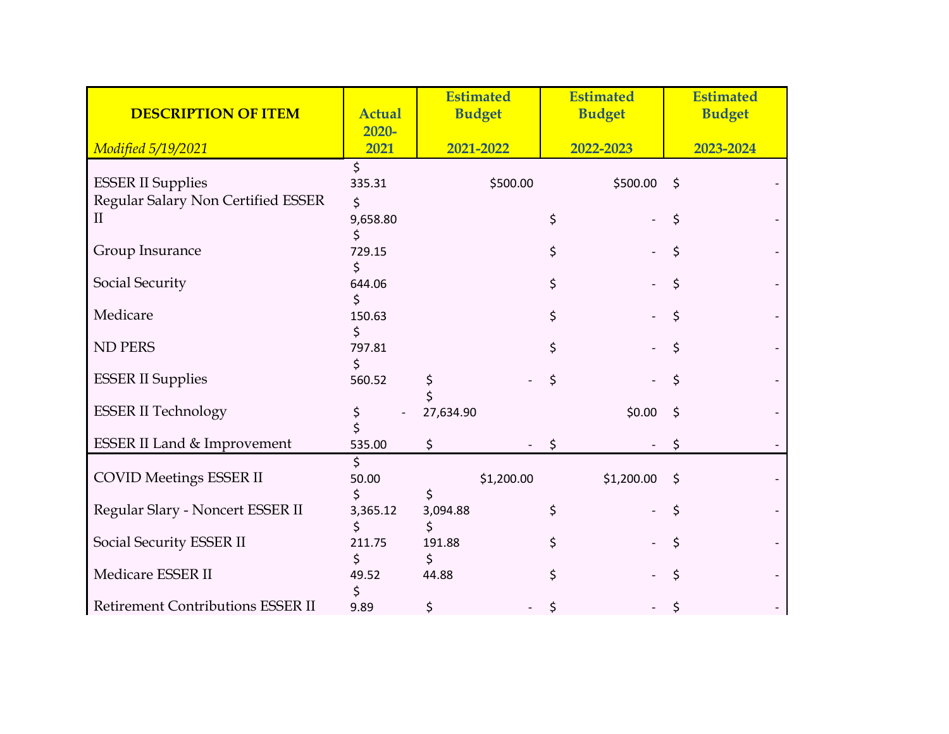| <b>DESCRIPTION OF ITEM</b>             | <b>Actual</b>  | <b>Estimated</b> | <b>Estimated</b> | <b>Estimated</b> |  |
|----------------------------------------|----------------|------------------|------------------|------------------|--|
|                                        | $2020 -$       | <b>Budget</b>    | <b>Budget</b>    | <b>Budget</b>    |  |
| Modified 5/19/2021                     | 2021           | 2021-2022        | 2022-2023        | 2023-2024        |  |
|                                        | Ś              |                  |                  |                  |  |
| <b>ESSER II Supplies</b>               | 335.31         | \$500.00         | \$500.00         | $\zeta$          |  |
| Regular Salary Non Certified ESSER     | \$             |                  |                  |                  |  |
| $\mathbf{I}$                           | 9,658.80<br>\$ |                  | \$               | \$               |  |
| Group Insurance                        | 729.15         |                  | \$               | \$               |  |
| Social Security                        | 644.06         |                  | \$               | \$               |  |
| Medicare                               | 150.63         |                  | \$               | \$               |  |
| <b>ND PERS</b>                         | \$.<br>797.81  |                  | \$               | \$               |  |
|                                        | S              |                  |                  |                  |  |
| <b>ESSER II Supplies</b>               | 560.52         | \$               | \$               | \$               |  |
| <b>ESSER II Technology</b>             | \$             | 27,634.90        | \$0.00           | \$               |  |
| <b>ESSER II Land &amp; Improvement</b> | 535.00         | \$               | \$               | \$               |  |
| <b>COVID Meetings ESSER II</b>         | \$<br>50.00    | \$1,200.00       | \$1,200.00       | \$               |  |
|                                        | \$             | \$               |                  |                  |  |
| Regular Slary - Noncert ESSER II       | 3,365.12       | 3,094.88         | \$               | \$               |  |
| Social Security ESSER II               | 211.75         | \$<br>191.88     | \$               | \$               |  |
|                                        | \$             | \$               |                  |                  |  |
| Medicare ESSER II                      | 49.52          | 44.88            | \$               | \$               |  |
| Retirement Contributions ESSER II      | 9.89           | \$               | \$               | \$               |  |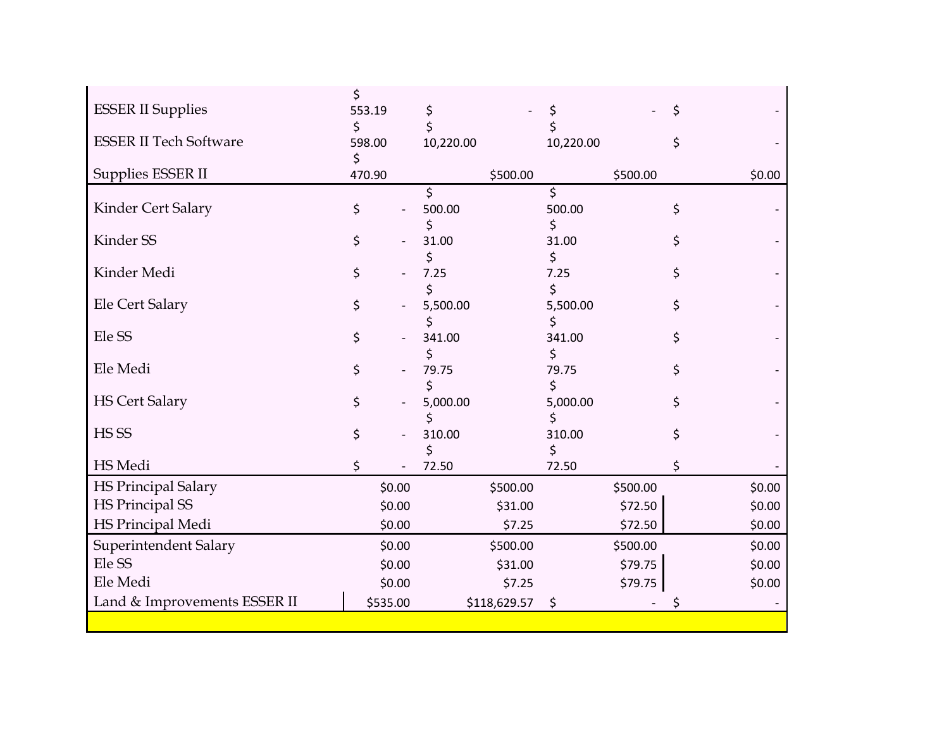|                               | \$     |                          |           |              |              |          |    |        |
|-------------------------------|--------|--------------------------|-----------|--------------|--------------|----------|----|--------|
| <b>ESSER II Supplies</b>      | 553.19 |                          | \$        |              | \$           |          | Ś  |        |
|                               | \$.    |                          | \$        |              |              |          |    |        |
| <b>ESSER II Tech Software</b> | 598.00 |                          | 10,220.00 |              | 10,220.00    |          | \$ |        |
|                               | \$     |                          |           |              |              |          |    |        |
| Supplies ESSER II             | 470.90 |                          |           | \$500.00     |              | \$500.00 |    | \$0.00 |
|                               |        |                          | \$        |              | \$           |          |    |        |
| Kinder Cert Salary            | \$     |                          | 500.00    |              | 500.00       |          | \$ |        |
|                               |        |                          | \$        |              | \$           |          |    |        |
| Kinder SS                     | \$     | $\overline{\phantom{0}}$ | 31.00     |              | 31.00        |          | \$ |        |
|                               |        |                          | \$        |              | \$           |          |    |        |
| Kinder Medi                   | \$     |                          | 7.25      |              | 7.25         |          | \$ |        |
|                               |        |                          | \$        |              | \$           |          |    |        |
| Ele Cert Salary               | \$     |                          | 5,500.00  |              | 5,500.00     |          | \$ |        |
| Ele <sub>SS</sub>             |        |                          | 341.00    |              | \$<br>341.00 |          |    |        |
|                               | \$     |                          |           |              | \$           |          | \$ |        |
| Ele Medi                      | \$     |                          | 79.75     |              | 79.75        |          | \$ |        |
|                               |        |                          | \$        |              | \$           |          |    |        |
| <b>HS Cert Salary</b>         | \$     |                          | 5,000.00  |              | 5,000.00     |          | \$ |        |
|                               |        |                          | \$        |              | \$           |          |    |        |
| HS <sub>SS</sub>              | \$     |                          | 310.00    |              | 310.00       |          | \$ |        |
|                               |        |                          | \$        |              | \$           |          |    |        |
| HS Medi                       | \$     |                          | 72.50     |              | 72.50        |          | \$ |        |
| HS Principal Salary           |        | \$0.00                   |           | \$500.00     |              | \$500.00 |    | \$0.00 |
| <b>HS Principal SS</b>        |        | \$0.00                   |           | \$31.00      |              | \$72.50  |    | \$0.00 |
| HS Principal Medi             |        | \$0.00                   |           | \$7.25       |              | \$72.50  |    | \$0.00 |
| Superintendent Salary         |        | \$0.00                   |           | \$500.00     |              | \$500.00 |    | \$0.00 |
| Ele <sub>SS</sub>             |        | \$0.00                   |           | \$31.00      |              | \$79.75  |    | \$0.00 |
| Ele Medi                      |        |                          |           |              |              |          |    |        |
|                               |        | \$0.00                   |           | \$7.25       |              | \$79.75  |    | \$0.00 |
| Land & Improvements ESSER II  |        | \$535.00                 |           | \$118,629.57 | \$           |          |    |        |
|                               |        |                          |           |              |              |          |    |        |